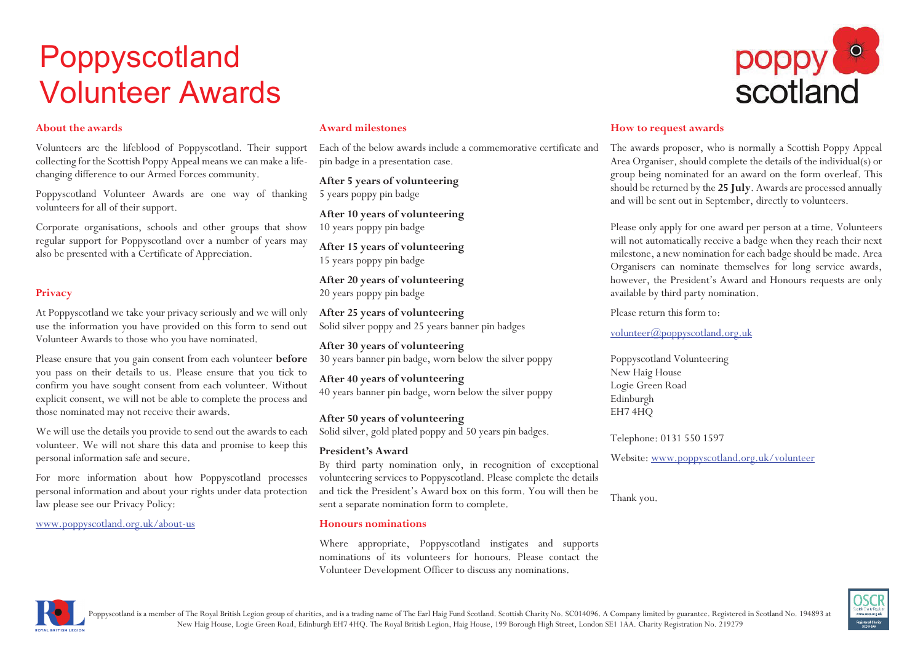# Poppyscotland Volunteer Awards

### **About the awards**

Volunteers are the lifeblood of Poppyscotland. Their support collecting for the Scottish Poppy Appeal means we can make a lifechanging difference to our Armed Forces community.

Poppyscotland Volunteer Awards are one way of thanking volunteers for all of their support.

Corporate organisations, schools and other groups that show regular support for Poppyscotland over a number of years may also be presented with a Certificate of Appreciation.

# **Privacy**

At Poppyscotland we take your privacy seriously and we will only use the information you have provided on this form to send out Volunteer Awards to those who you have nominated.

Please ensure that you gain consent from each volunteer **before** you pass on their details to us. Please ensure that you tick to confirm you have sought consent from each volunteer. Without explicit consent, we will not be able to complete the process and those nominated may not receive their awards.

We will use the details you provide to send out the awards to each volunteer. We will not share this data and promise to keep this personal information safe and secure.

For more information about how Poppyscotland processes personal information and about your rights under data protection law please see our Privacy Policy:

www.poppyscotland.org.uk/about-us

#### **Award milestones**

Each of the below awards include a commemorative certificate and pin badge in a presentation case.

**After 5 years of volunteering** 5 years poppy pin badge

**After 10 years of volunteering** 10 years poppy pin badge

**After 15 years of volunteering** 15 years poppy pin badge

**After 20 years of volunteering** 20 years poppy pin badge

**After 25 years of volunteering** Solid silver poppy and 25 years banner pin badges

**After 30 years of volunteering** 30 years banner pin badge, worn below the silver poppy

**After 40 years of volunteering** 40 years banner pin badge, worn below the silver poppy

**After 50 years of volunteering** Solid silver, gold plated poppy and 50 years pin badges.

#### **President's Award**

By third party nomination only, in recognition of exceptional volunteering services to Poppyscotland. Please complete the details and tick the President's Award box on this form. You will then be sent a separate nomination form to complete.

#### **Honours nominations**

Where appropriate, Poppyscotland instigates and supports nominations of its volunteers for honours. Please contact the Volunteer Development Officer to discuss any nominations.



## **How to request awards**

The awards proposer, who is normally a Scottish Poppy Appeal Area Organiser, should complete the details of the individual(s) or group being nominated for an award on the form overleaf. This should be returned by the **25 July**. Awards are processed annually and will be sent out in September, directly to volunteers.

Please only apply for one award per person at a time. Volunteers will not automatically receive a badge when they reach their next milestone, a new nomination for each badge should be made. Area Organisers can nominate themselves for long service awards, however, the President's Award and Honours requests are only available by third party nomination.

Please return this form to:

volunteer@poppyscotland.org.uk

Poppyscotland Volunteering New Haig House Logie Green Road Edinburgh EH7 4HQ

Telephone: 0131 550 1597

Website: www.poppyscotland.org.uk/volunteer

Thank you.